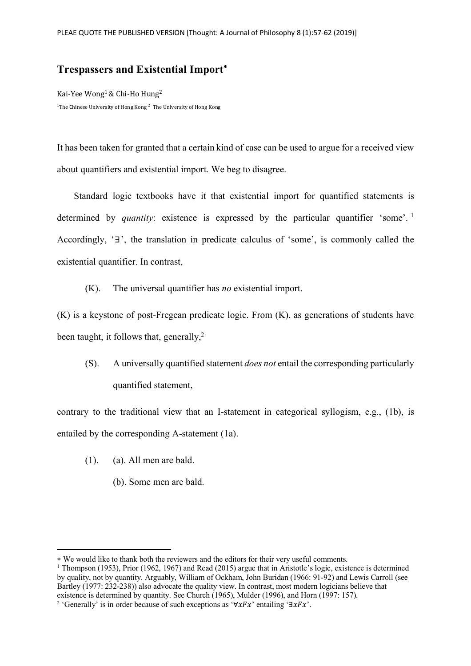## **Trespassers and Existential Import**\*

Kai-Yee Wong<sup>1</sup> & Chi-Ho Hung<sup>2</sup>  $^1$ The Chinese University of Hong Kong  $^2$  The University of Hong Kong

It has been taken for granted that a certain kind of case can be used to argue for a received view about quantifiers and existential import. We beg to disagree.

Standard logic textbooks have it that existential import for quantified statements is determined by *quantity*: existence is expressed by the particular quantifier 'some'.<sup>1</sup> Accordingly, '∃', the translation in predicate calculus of 'some', is commonly called the existential quantifier. In contrast,

(K). The universal quantifier has *no* existential import.

(K) is a keystone of post-Fregean predicate logic. From (K), as generations of students have been taught, it follows that, generally, $2$ 

(S). A universally quantified statement *does not* entail the corresponding particularly quantified statement,

contrary to the traditional view that an I-statement in categorical syllogism, e.g., (1b), is entailed by the corresponding A-statement (1a).

(1). (a). All men are bald.

 $\overline{a}$ 

(b). Some men are bald.

<sup>\*</sup> We would like to thank both the reviewers and the editors for their very useful comments.

<sup>1</sup> Thompson (1953), Prior (1962, 1967) and Read (2015) argue that in Aristotle's logic, existence is determined by quality, not by quantity. Arguably, William of Ockham, John Buridan (1966: 91-92) and Lewis Carroll (see Bartley (1977: 232-238)) also advocate the quality view. In contrast, most modern logicians believe that existence is determined by quantity. See Church (1965), Mulder (1996), and Horn (1997: 157).

<sup>&</sup>lt;sup>2</sup> 'Generally' is in order because of such exceptions as ' $\forall x Fx$ ' entailing '∃ $xFx$ '.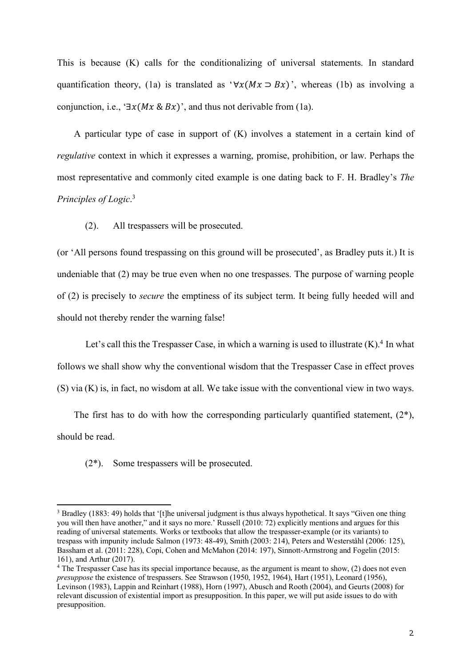This is because (K) calls for the conditionalizing of universal statements. In standard quantification theory, (1a) is translated as ' $\forall x(Mx \supset Bx)$ ', whereas (1b) as involving a conjunction, i.e., ' $\exists x(Mx \& Bx)$ ', and thus not derivable from (1a).

A particular type of case in support of (K) involves a statement in a certain kind of *regulative* context in which it expresses a warning, promise, prohibition, or law. Perhaps the most representative and commonly cited example is one dating back to F. H. Bradley's *The Principles of Logic*. 3

(2). All trespassers will be prosecuted.

(or 'All persons found trespassing on this ground will be prosecuted', as Bradley puts it.) It is undeniable that (2) may be true even when no one trespasses. The purpose of warning people of (2) is precisely to *secure* the emptiness of its subject term. It being fully heeded will and should not thereby render the warning false!

Let's call this the Trespasser Case, in which a warning is used to illustrate  $(K)$ .<sup>4</sup> In what follows we shall show why the conventional wisdom that the Trespasser Case in effect proves (S) via (K) is, in fact, no wisdom at all. We take issue with the conventional view in two ways.

The first has to do with how the corresponding particularly quantified statement,  $(2^*)$ , should be read.

(2\*). Some trespassers will be prosecuted.

 $\overline{a}$ 

<sup>3</sup> Bradley (1883: 49) holds that '[t]he universal judgment is thus always hypothetical. It says "Given one thing you will then have another," and it says no more.' Russell (2010: 72) explicitly mentions and argues for this reading of universal statements. Works or textbooks that allow the trespasser-example (or its variants) to trespass with impunity include Salmon (1973: 48-49), Smith (2003: 214), Peters and Westerståhl (2006: 125), Bassham et al. (2011: 228), Copi, Cohen and McMahon (2014: 197), Sinnott-Armstrong and Fogelin (2015: 161), and Arthur (2017).

<sup>&</sup>lt;sup>4</sup> The Trespasser Case has its special importance because, as the argument is meant to show, (2) does not even *presuppose* the existence of trespassers. See Strawson (1950, 1952, 1964), Hart (1951), Leonard (1956), Levinson (1983), Lappin and Reinhart (1988), Horn (1997), Abusch and Rooth (2004), and Geurts (2008) for relevant discussion of existential import as presupposition. In this paper, we will put aside issues to do with presupposition.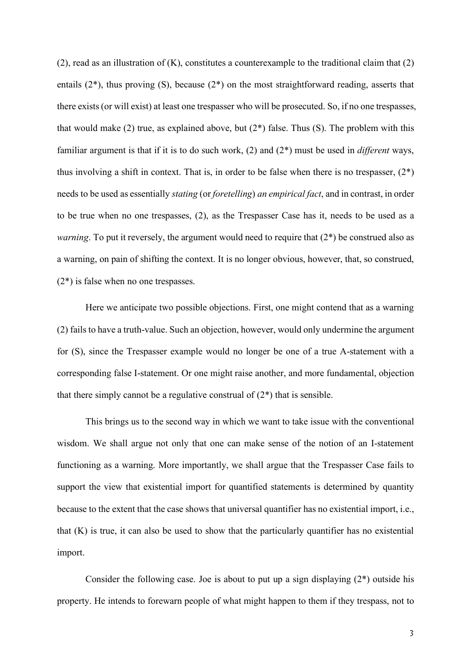$(2)$ , read as an illustration of  $(K)$ , constitutes a counterexample to the traditional claim that  $(2)$ entails (2\*), thus proving (S), because (2\*) on the most straightforward reading, asserts that there exists (or will exist) at least one trespasser who will be prosecuted. So, if no one trespasses, that would make (2) true, as explained above, but  $(2^*)$  false. Thus (S). The problem with this familiar argument is that if it is to do such work, (2) and (2\*) must be used in *different* ways, thus involving a shift in context. That is, in order to be false when there is no trespasser,  $(2^*)$ needs to be used as essentially *stating* (or *foretelling*) *an empirical fact*, and in contrast, in order to be true when no one trespasses, (2), as the Trespasser Case has it, needs to be used as a *warning*. To put it reversely, the argument would need to require that  $(2^*)$  be construed also as a warning, on pain of shifting the context. It is no longer obvious, however, that, so construed, (2\*) is false when no one trespasses.

Here we anticipate two possible objections. First, one might contend that as a warning (2) fails to have a truth-value. Such an objection, however, would only undermine the argument for (S), since the Trespasser example would no longer be one of a true A-statement with a corresponding false I-statement. Or one might raise another, and more fundamental, objection that there simply cannot be a regulative construal of  $(2^*)$  that is sensible.

This brings us to the second way in which we want to take issue with the conventional wisdom. We shall argue not only that one can make sense of the notion of an I-statement functioning as a warning. More importantly, we shall argue that the Trespasser Case fails to support the view that existential import for quantified statements is determined by quantity because to the extent that the case shows that universal quantifier has no existential import, i.e., that (K) is true, it can also be used to show that the particularly quantifier has no existential import.

Consider the following case. Joe is about to put up a sign displaying  $(2^*)$  outside his property. He intends to forewarn people of what might happen to them if they trespass, not to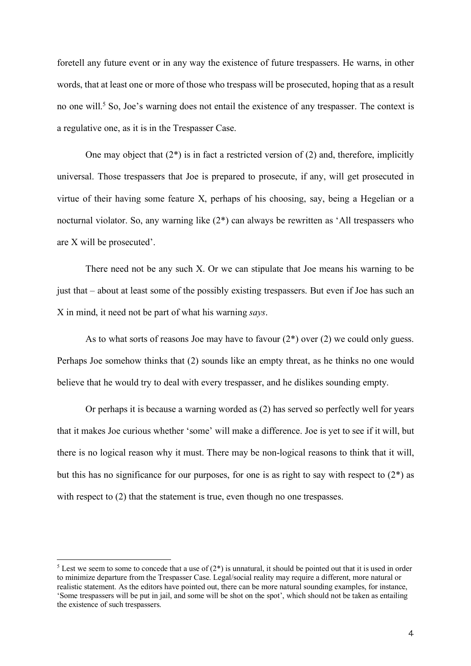foretell any future event or in any way the existence of future trespassers. He warns, in other words, that at least one or more of those who trespass will be prosecuted, hoping that as a result no one will.<sup>5</sup> So, Joe's warning does not entail the existence of any trespasser. The context is a regulative one, as it is in the Trespasser Case.

One may object that  $(2^*)$  is in fact a restricted version of  $(2)$  and, therefore, implicitly universal. Those trespassers that Joe is prepared to prosecute, if any, will get prosecuted in virtue of their having some feature X, perhaps of his choosing, say, being a Hegelian or a nocturnal violator. So, any warning like (2\*) can always be rewritten as 'All trespassers who are X will be prosecuted'.

There need not be any such X. Or we can stipulate that Joe means his warning to be just that – about at least some of the possibly existing trespassers. But even if Joe has such an X in mind, it need not be part of what his warning *says*.

As to what sorts of reasons Joe may have to favour  $(2^*)$  over  $(2)$  we could only guess. Perhaps Joe somehow thinks that (2) sounds like an empty threat, as he thinks no one would believe that he would try to deal with every trespasser, and he dislikes sounding empty.

Or perhaps it is because a warning worded as (2) has served so perfectly well for years that it makes Joe curious whether 'some' will make a difference. Joe is yet to see if it will, but there is no logical reason why it must. There may be non-logical reasons to think that it will, but this has no significance for our purposes, for one is as right to say with respect to  $(2^*)$  as with respect to (2) that the statement is true, even though no one trespasses.

 $\overline{a}$ 

<sup>&</sup>lt;sup>5</sup> Lest we seem to some to concede that a use of  $(2^*)$  is unnatural, it should be pointed out that it is used in order to minimize departure from the Trespasser Case. Legal/social reality may require a different, more natural or realistic statement. As the editors have pointed out, there can be more natural sounding examples, for instance, 'Some trespassers will be put in jail, and some will be shot on the spot', which should not be taken as entailing the existence of such trespassers.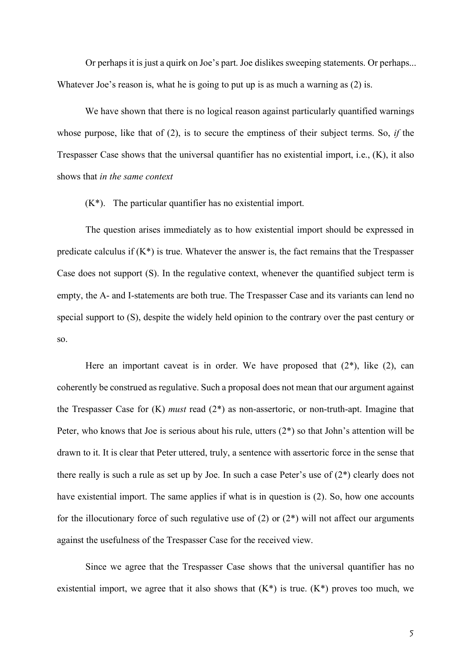Or perhaps it is just a quirk on Joe's part. Joe dislikes sweeping statements. Or perhaps... Whatever Joe's reason is, what he is going to put up is as much a warning as (2) is.

We have shown that there is no logical reason against particularly quantified warnings whose purpose, like that of (2), is to secure the emptiness of their subject terms. So, *if* the Trespasser Case shows that the universal quantifier has no existential import, i.e., (K), it also shows that *in the same context*

(K\*). The particular quantifier has no existential import.

The question arises immediately as to how existential import should be expressed in predicate calculus if  $(K^*)$  is true. Whatever the answer is, the fact remains that the Trespasser Case does not support (S). In the regulative context, whenever the quantified subject term is empty, the A- and I-statements are both true. The Trespasser Case and its variants can lend no special support to (S), despite the widely held opinion to the contrary over the past century or so.

Here an important caveat is in order. We have proposed that  $(2^*)$ , like  $(2)$ , can coherently be construed as regulative. Such a proposal does not mean that our argument against the Trespasser Case for (K) *must* read (2\*) as non-assertoric, or non-truth-apt. Imagine that Peter, who knows that Joe is serious about his rule, utters (2\*) so that John's attention will be drawn to it. It is clear that Peter uttered, truly, a sentence with assertoric force in the sense that there really is such a rule as set up by Joe. In such a case Peter's use of (2\*) clearly does not have existential import. The same applies if what is in question is (2). So, how one accounts for the illocutionary force of such regulative use of  $(2)$  or  $(2^*)$  will not affect our arguments against the usefulness of the Trespasser Case for the received view.

Since we agree that the Trespasser Case shows that the universal quantifier has no existential import, we agree that it also shows that  $(K^*)$  is true.  $(K^*)$  proves too much, we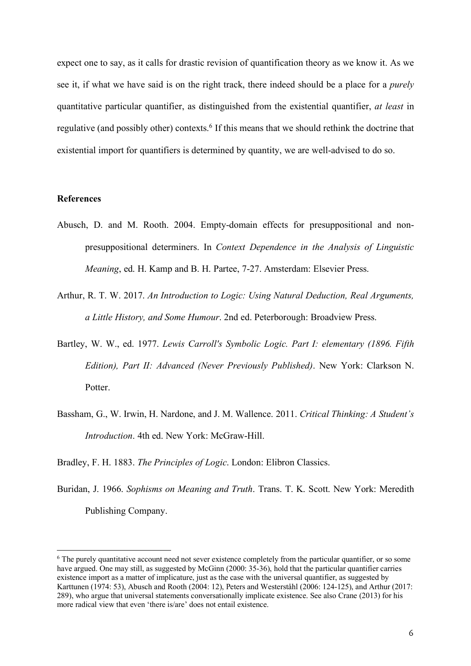expect one to say, as it calls for drastic revision of quantification theory as we know it. As we see it, if what we have said is on the right track, there indeed should be a place for a *purely* quantitative particular quantifier, as distinguished from the existential quantifier, *at least* in regulative (and possibly other) contexts.<sup>6</sup> If this means that we should rethink the doctrine that existential import for quantifiers is determined by quantity, we are well-advised to do so.

## **References**

 $\overline{a}$ 

- Abusch, D. and M. Rooth. 2004. Empty-domain effects for presuppositional and nonpresuppositional determiners. In *Context Dependence in the Analysis of Linguistic Meaning*, ed. H. Kamp and B. H. Partee, 7-27. Amsterdam: Elsevier Press.
- Arthur, R. T. W. 2017. *An Introduction to Logic: Using Natural Deduction, Real Arguments, a Little History, and Some Humour*. 2nd ed. Peterborough: Broadview Press.
- Bartley, W. W., ed. 1977. *Lewis Carroll's Symbolic Logic. Part I: elementary (1896. Fifth Edition), Part II: Advanced (Never Previously Published)*. New York: Clarkson N. **Potter**
- Bassham, G., W. Irwin, H. Nardone, and J. M. Wallence. 2011. *Critical Thinking: A Student's Introduction*. 4th ed. New York: McGraw-Hill.

Bradley, F. H. 1883. *The Principles of Logic*. London: Elibron Classics.

Buridan, J. 1966. *Sophisms on Meaning and Truth*. Trans. T. K. Scott. New York: Meredith Publishing Company.

<sup>&</sup>lt;sup>6</sup> The purely quantitative account need not sever existence completely from the particular quantifier, or so some have argued. One may still, as suggested by McGinn (2000: 35-36), hold that the particular quantifier carries existence import as a matter of implicature, just as the case with the universal quantifier, as suggested by Karttunen (1974: 53), Abusch and Rooth (2004: 12), Peters and Westerståhl (2006: 124-125), and Arthur (2017: 289), who argue that universal statements conversationally implicate existence. See also Crane (2013) for his more radical view that even 'there is/are' does not entail existence.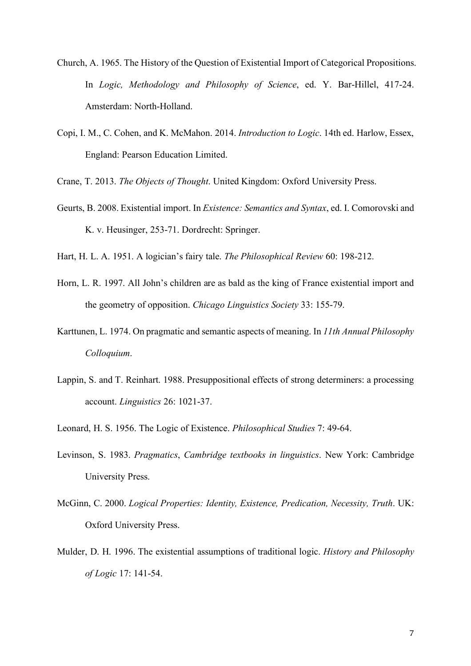- Church, A. 1965. The History of the Question of Existential Import of Categorical Propositions. In *Logic, Methodology and Philosophy of Science*, ed. Y. Bar-Hillel, 417-24. Amsterdam: North-Holland.
- Copi, I. M., C. Cohen, and K. McMahon. 2014. *Introduction to Logic*. 14th ed. Harlow, Essex, England: Pearson Education Limited.

Crane, T. 2013. *The Objects of Thought*. United Kingdom: Oxford University Press.

- Geurts, B. 2008. Existential import. In *Existence: Semantics and Syntax*, ed. I. Comorovski and K. v. Heusinger, 253-71. Dordrecht: Springer.
- Hart, H. L. A. 1951. A logician's fairy tale. *The Philosophical Review* 60: 198-212.
- Horn, L. R. 1997. All John's children are as bald as the king of France existential import and the geometry of opposition. *Chicago Linguistics Society* 33: 155-79.
- Karttunen, L. 1974. On pragmatic and semantic aspects of meaning. In *11th Annual Philosophy Colloquium*.
- Lappin, S. and T. Reinhart. 1988. Presuppositional effects of strong determiners: a processing account. *Linguistics* 26: 1021-37.
- Leonard, H. S. 1956. The Logic of Existence. *Philosophical Studies* 7: 49-64.
- Levinson, S. 1983. *Pragmatics*, *Cambridge textbooks in linguistics*. New York: Cambridge University Press.
- McGinn, C. 2000. *Logical Properties: Identity, Existence, Predication, Necessity, Truth*. UK: Oxford University Press.
- Mulder, D. H. 1996. The existential assumptions of traditional logic. *History and Philosophy of Logic* 17: 141-54.